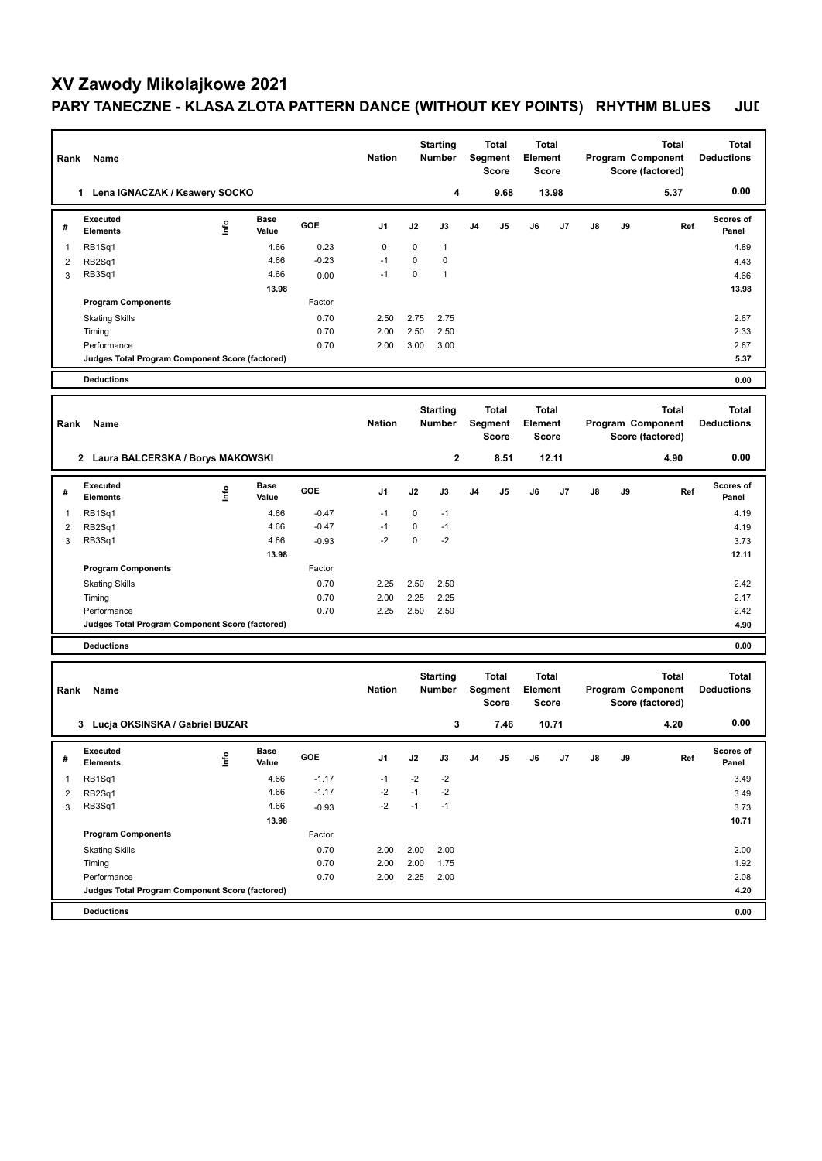## **XV Zawody Mikolajkowe 2021 PARY TANECZNE - KLASA ZLOTA PATTERN DANCE (WITHOUT KEY POINTS) RHYTHM BLUES JUL**

| Rank           | Name                                            |                      | <b>Nation</b> | <b>Starting</b><br><b>Number</b> |                                  | <b>Total</b><br>Segment<br><b>Score</b> |                                         | Total<br>Element<br>Score |                                  |       |                                       | <b>Total</b><br>Program Component<br>Score (factored) | <b>Total</b><br><b>Deductions</b>                     |                                   |
|----------------|-------------------------------------------------|----------------------|---------------|----------------------------------|----------------------------------|-----------------------------------------|-----------------------------------------|---------------------------|----------------------------------|-------|---------------------------------------|-------------------------------------------------------|-------------------------------------------------------|-----------------------------------|
|                | 1 Lena IGNACZAK / Ksawery SOCKO                 |                      |               |                                  |                                  | 4                                       |                                         | 9.68                      |                                  | 13.98 |                                       |                                                       | 5.37                                                  | 0.00                              |
| #              | Executed<br>١nf٥<br><b>Elements</b>             | <b>Base</b><br>Value | GOE           | J1                               | J2                               | J3                                      | J4                                      | J5                        | J6                               | J7    | J8                                    | J9                                                    | Ref                                                   | Scores of<br>Panel                |
| 1              | RB1Sq1                                          | 4.66                 | 0.23          | $\mathbf 0$                      | $\mathbf 0$                      | $\mathbf{1}$                            |                                         |                           |                                  |       |                                       |                                                       |                                                       | 4.89                              |
| $\overline{2}$ | RB2Sq1                                          | 4.66                 | $-0.23$       | $-1$                             | 0                                | 0                                       |                                         |                           |                                  |       |                                       |                                                       |                                                       | 4.43                              |
| 3              | RB3Sq1                                          | 4.66                 | 0.00          | $-1$                             | 0                                | $\mathbf{1}$                            |                                         |                           |                                  |       |                                       |                                                       |                                                       | 4.66                              |
|                |                                                 | 13.98                |               |                                  |                                  |                                         |                                         |                           |                                  |       |                                       |                                                       |                                                       | 13.98                             |
|                | <b>Program Components</b>                       |                      | Factor        |                                  |                                  |                                         |                                         |                           |                                  |       |                                       |                                                       |                                                       |                                   |
|                | <b>Skating Skills</b><br>Timing                 |                      | 0.70<br>0.70  | 2.50<br>2.00                     | 2.75<br>2.50                     | 2.75<br>2.50                            |                                         |                           |                                  |       |                                       |                                                       |                                                       | 2.67<br>2.33                      |
|                | Performance                                     |                      | 0.70          | 2.00                             | 3.00                             | 3.00                                    |                                         |                           |                                  |       |                                       |                                                       |                                                       | 2.67                              |
|                | Judges Total Program Component Score (factored) |                      |               |                                  |                                  |                                         |                                         |                           |                                  |       |                                       |                                                       |                                                       | 5.37                              |
|                | <b>Deductions</b>                               |                      |               |                                  |                                  |                                         |                                         |                           |                                  |       |                                       |                                                       |                                                       | 0.00                              |
|                |                                                 |                      |               |                                  |                                  |                                         |                                         |                           |                                  |       |                                       |                                                       |                                                       |                                   |
| Rank           | Name                                            |                      |               | <b>Nation</b>                    | <b>Starting</b><br><b>Number</b> |                                         | <b>Total</b><br>Segment<br><b>Score</b> |                           | Total<br>Element<br><b>Score</b> |       | Program Component<br>Score (factored) |                                                       | <b>Total</b>                                          | <b>Total</b><br><b>Deductions</b> |
|                | 2 Laura BALCERSKA / Borys MAKOWSKI              |                      |               |                                  |                                  | $\mathbf{2}$                            |                                         | 8.51                      |                                  | 12.11 |                                       |                                                       | 4.90                                                  | 0.00                              |
| #              | <b>Executed</b><br>lnfo<br><b>Elements</b>      | Base<br>Value        | GOE           | J1                               | J2                               | J3                                      | J4                                      | J5                        | J6                               | J7    | J8                                    | J9                                                    | Ref                                                   | <b>Scores of</b><br>Panel         |
| 1              | RB1Sq1                                          | 4.66                 | $-0.47$       | $-1$                             | 0                                | $-1$                                    |                                         |                           |                                  |       |                                       |                                                       |                                                       | 4.19                              |
| $\overline{2}$ | RB2Sq1                                          | 4.66                 | $-0.47$       | $-1$                             | 0                                | $-1$                                    |                                         |                           |                                  |       |                                       |                                                       |                                                       | 4.19                              |
| 3              | RB3Sq1                                          | 4.66                 | $-0.93$       | $-2$                             | $\mathbf 0$                      | $-2$                                    |                                         |                           |                                  |       |                                       |                                                       |                                                       | 3.73                              |
|                |                                                 | 13.98                |               |                                  |                                  |                                         |                                         |                           |                                  |       |                                       |                                                       |                                                       | 12.11                             |
|                | <b>Program Components</b>                       |                      | Factor        | 2.25                             |                                  |                                         |                                         |                           |                                  |       |                                       |                                                       |                                                       | 2.42                              |
|                | <b>Skating Skills</b><br>Timing                 |                      | 0.70<br>0.70  | 2.00                             | 2.50<br>2.25                     | 2.50<br>2.25                            |                                         |                           |                                  |       |                                       |                                                       |                                                       | 2.17                              |
|                | Performance                                     |                      | 0.70          | 2.25                             | 2.50                             | 2.50                                    |                                         |                           |                                  |       |                                       |                                                       |                                                       | 2.42                              |
|                | Judges Total Program Component Score (factored) |                      |               |                                  |                                  |                                         |                                         |                           |                                  |       |                                       |                                                       |                                                       | 4.90                              |
|                | <b>Deductions</b>                               |                      |               |                                  |                                  |                                         |                                         |                           |                                  |       |                                       |                                                       |                                                       | 0.00                              |
|                |                                                 |                      |               |                                  |                                  |                                         |                                         |                           |                                  |       |                                       |                                                       |                                                       |                                   |
| Rank           | Name                                            |                      | <b>Nation</b> |                                  | <b>Starting</b><br><b>Number</b> |                                         | <b>Total</b><br>Segment<br><b>Score</b> |                           | Total<br>Element<br><b>Score</b> |       |                                       |                                                       | <b>Total</b><br>Program Component<br>Score (factored) | <b>Total</b><br><b>Deductions</b> |
|                | 3 Lucja OKSINSKA / Gabriel BUZAR                |                      |               |                                  |                                  | 3                                       |                                         | 7.46                      |                                  | 10.71 |                                       |                                                       | 4.20                                                  | 0.00                              |
| #              | Executed<br>lnfo<br><b>Elements</b>             | Base<br>Value        | GOE           | J1                               | J2                               | J3                                      | J4                                      | J5                        | J6                               | J7    | J8                                    | J9                                                    | Ref                                                   | Scores of<br>Panel                |
| 1              | RB1Sq1                                          | 4.66                 | $-1.17$       | $-1$                             | $-2$                             | -2                                      |                                         |                           |                                  |       |                                       |                                                       |                                                       | 3.49                              |
| 2              | RB2Sq1                                          | 4.66                 | $-1.17$       | $-2$                             | $-1$                             | $-2$                                    |                                         |                           |                                  |       |                                       |                                                       |                                                       | 3.49                              |
| 3              | RB3Sq1                                          | 4.66                 | $-0.93$       | $-2$                             | $-1$                             | $-1$                                    |                                         |                           |                                  |       |                                       |                                                       |                                                       | 3.73                              |
|                |                                                 | 13.98                |               |                                  |                                  |                                         |                                         |                           |                                  |       |                                       |                                                       |                                                       | 10.71                             |
|                | <b>Program Components</b>                       |                      | Factor        |                                  |                                  |                                         |                                         |                           |                                  |       |                                       |                                                       |                                                       |                                   |
|                | <b>Skating Skills</b><br>Timing                 |                      | 0.70<br>0.70  | 2.00<br>2.00                     | 2.00<br>2.00                     | 2.00<br>1.75                            |                                         |                           |                                  |       |                                       |                                                       |                                                       | 2.00<br>1.92                      |
|                | Performance                                     |                      | 0.70          | 2.00                             | 2.25                             | 2.00                                    |                                         |                           |                                  |       |                                       |                                                       |                                                       | 2.08                              |
|                | Judges Total Program Component Score (factored) |                      |               |                                  |                                  |                                         |                                         |                           |                                  |       |                                       |                                                       |                                                       | 4.20                              |
|                | <b>Deductions</b>                               |                      |               |                                  |                                  |                                         |                                         |                           |                                  |       |                                       |                                                       |                                                       | 0.00                              |
|                |                                                 |                      |               |                                  |                                  |                                         |                                         |                           |                                  |       |                                       |                                                       |                                                       |                                   |